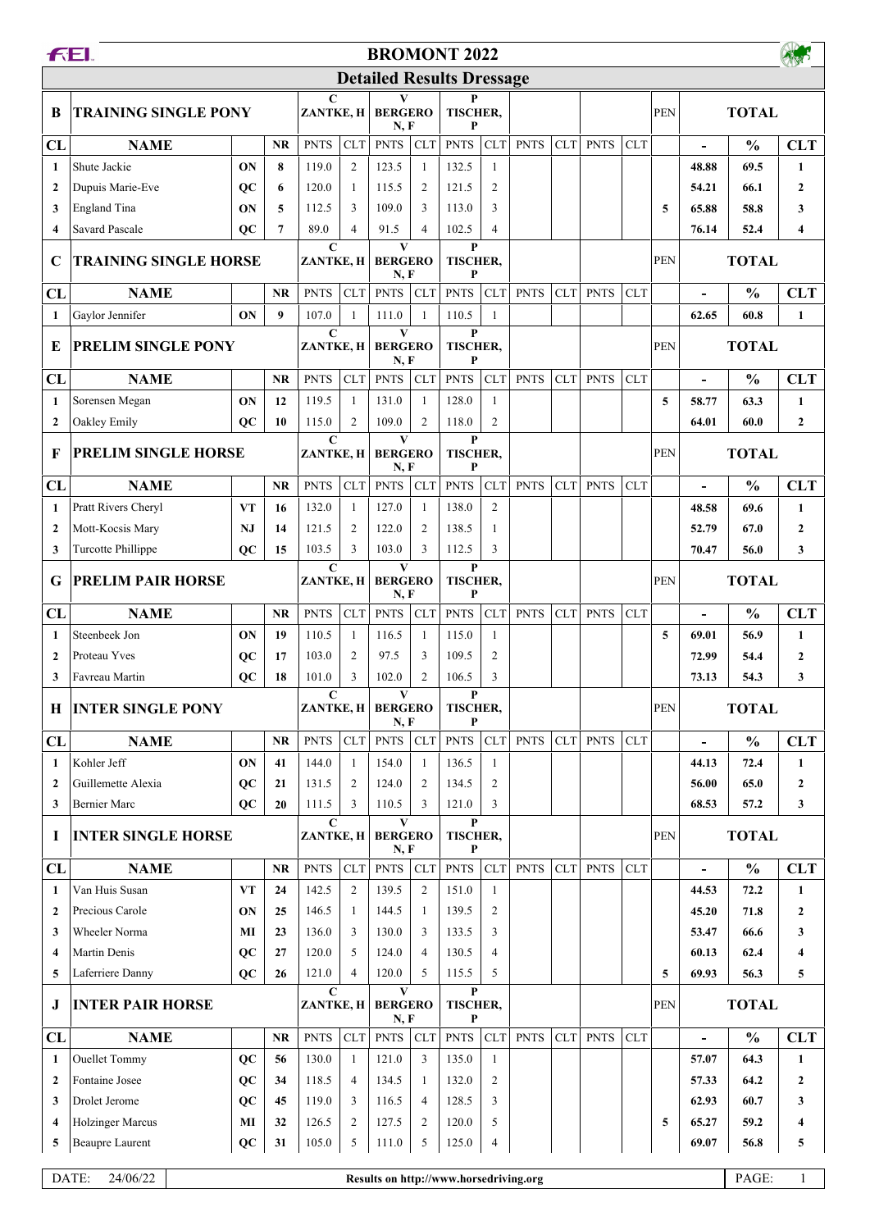| <b>Detailed Results Dressage</b><br>$\mathbf C$<br>P<br>V<br><b>TRAINING SINGLE PONY</b><br><b>TOTAL</b><br>ZANTKE, H<br><b>BERGERO</b><br><b>TISCHER,</b><br>PEN<br>B<br>N, F<br>P<br>CLT<br><b>PNTS</b><br><b>CLT</b><br><b>PNTS</b><br><b>PNTS</b><br><b>CLT</b><br><b>PNTS</b><br><b>PNTS</b><br>$\frac{0}{0}$<br>CL<br><b>NAME</b><br><b>NR</b><br>CLT<br><b>CLT</b><br>$\frac{1}{2}$<br>ON<br>$\overline{2}$<br>123.5<br>Shute Jackie<br>8<br>119.0<br>132.5<br>69.5<br>$\mathbf{1}$<br>1<br>$\mathbf{1}$<br>48.88<br>$\overline{c}$<br>Dupuis Marie-Eve<br>$_{oc}$<br>6<br>120.0<br>115.5<br>$\overline{2}$<br>121.5<br>54.21<br>66.1<br>$\overline{2}$<br>$\mathbf{1}$<br>5<br>109.0<br>3<br>65.88<br>England Tina<br>ON<br>112.5<br>3<br>3<br>113.0<br>5<br>58.8<br>3<br>89.0<br><b>Savard Pascale</b><br>$_{oc}$<br>$\overline{7}$<br>4<br>91.5<br>$\overline{4}$<br>102.5<br>$\overline{4}$<br>76.14<br>52.4<br>$\overline{\mathbf{4}}$<br>$\mathbf C$<br>$\mathbf{V}$<br>P<br><b>TRAINING SINGLE HORSE</b><br>TISCHER,<br><b>PEN</b><br><b>TOTAL</b><br>ZANTKE, H<br><b>BERGERO</b><br>C<br>N, F<br>P<br><b>PNTS</b><br><b>CLT</b><br>CLT<br><b>PNTS</b><br><b>CLT</b><br>$\frac{0}{0}$<br>CL<br><b>NAME</b><br><b>NR</b><br><b>PNTS</b><br><b>PNTS</b><br><b>CLT</b><br><b>PNTS</b><br><b>CLT</b><br>$\overline{a}$<br>$\boldsymbol{9}$<br>ON<br>107.0<br>111.0<br>110.5<br>$\mathbf{1}$<br>60.8<br>1<br>Gaylor Jennifer<br>$\mathbf{1}$<br>$\overline{1}$<br>62.65<br>$\mathbf{V}$<br>$\mathbf{P}$<br>$\mathbf C$<br>PRELIM SINGLE PONY<br><b>BERGERO</b><br><b>TISCHER,</b><br>PEN<br><b>TOTAL</b><br>E<br>ZANTKE, H<br>N, F<br>P<br><b>PNTS</b><br>CLT<br><b>PNTS</b><br><b>CLT</b><br>$\frac{0}{0}$<br>CL<br><b>NAME</b><br><b>NR</b><br><b>CLT</b><br><b>PNTS</b><br><b>PNTS</b><br>CLT<br><b>PNTS</b><br><b>CLT</b><br>$\overline{a}$<br>ON<br>12<br>119.5<br>131.0<br>128.0<br>5<br>63.3<br>Sorensen Megan<br>1<br>1<br>58.77<br>-1<br>$\mathbf{1}$<br>$\overline{2}$<br>Oakley Emily<br>115.0<br>$\overline{c}$<br>109.0<br>$\overline{2}$<br>118.0<br>$_{oc}$<br>10<br>64.01<br>60.0<br>$\overline{2}$<br>$\mathbf C$<br>$\mathbf{V}$<br>P<br>PRELIM SINGLE HORSE<br>TISCHER,<br>PEN<br>F<br>ZANTKE, H<br><b>BERGERO</b> |                  |  |  |
|------------------------------------------------------------------------------------------------------------------------------------------------------------------------------------------------------------------------------------------------------------------------------------------------------------------------------------------------------------------------------------------------------------------------------------------------------------------------------------------------------------------------------------------------------------------------------------------------------------------------------------------------------------------------------------------------------------------------------------------------------------------------------------------------------------------------------------------------------------------------------------------------------------------------------------------------------------------------------------------------------------------------------------------------------------------------------------------------------------------------------------------------------------------------------------------------------------------------------------------------------------------------------------------------------------------------------------------------------------------------------------------------------------------------------------------------------------------------------------------------------------------------------------------------------------------------------------------------------------------------------------------------------------------------------------------------------------------------------------------------------------------------------------------------------------------------------------------------------------------------------------------------------------------------------------------------------------------------------------------------------------------------------------------------------------------------------------------------------------------------------------------------------------------------------------------------------------------------------------------------|------------------|--|--|
|                                                                                                                                                                                                                                                                                                                                                                                                                                                                                                                                                                                                                                                                                                                                                                                                                                                                                                                                                                                                                                                                                                                                                                                                                                                                                                                                                                                                                                                                                                                                                                                                                                                                                                                                                                                                                                                                                                                                                                                                                                                                                                                                                                                                                                                |                  |  |  |
|                                                                                                                                                                                                                                                                                                                                                                                                                                                                                                                                                                                                                                                                                                                                                                                                                                                                                                                                                                                                                                                                                                                                                                                                                                                                                                                                                                                                                                                                                                                                                                                                                                                                                                                                                                                                                                                                                                                                                                                                                                                                                                                                                                                                                                                |                  |  |  |
|                                                                                                                                                                                                                                                                                                                                                                                                                                                                                                                                                                                                                                                                                                                                                                                                                                                                                                                                                                                                                                                                                                                                                                                                                                                                                                                                                                                                                                                                                                                                                                                                                                                                                                                                                                                                                                                                                                                                                                                                                                                                                                                                                                                                                                                | <b>CLT</b>       |  |  |
|                                                                                                                                                                                                                                                                                                                                                                                                                                                                                                                                                                                                                                                                                                                                                                                                                                                                                                                                                                                                                                                                                                                                                                                                                                                                                                                                                                                                                                                                                                                                                                                                                                                                                                                                                                                                                                                                                                                                                                                                                                                                                                                                                                                                                                                | $\mathbf{1}$     |  |  |
|                                                                                                                                                                                                                                                                                                                                                                                                                                                                                                                                                                                                                                                                                                                                                                                                                                                                                                                                                                                                                                                                                                                                                                                                                                                                                                                                                                                                                                                                                                                                                                                                                                                                                                                                                                                                                                                                                                                                                                                                                                                                                                                                                                                                                                                | $\mathbf{2}$     |  |  |
|                                                                                                                                                                                                                                                                                                                                                                                                                                                                                                                                                                                                                                                                                                                                                                                                                                                                                                                                                                                                                                                                                                                                                                                                                                                                                                                                                                                                                                                                                                                                                                                                                                                                                                                                                                                                                                                                                                                                                                                                                                                                                                                                                                                                                                                | 3                |  |  |
|                                                                                                                                                                                                                                                                                                                                                                                                                                                                                                                                                                                                                                                                                                                                                                                                                                                                                                                                                                                                                                                                                                                                                                                                                                                                                                                                                                                                                                                                                                                                                                                                                                                                                                                                                                                                                                                                                                                                                                                                                                                                                                                                                                                                                                                | 4                |  |  |
|                                                                                                                                                                                                                                                                                                                                                                                                                                                                                                                                                                                                                                                                                                                                                                                                                                                                                                                                                                                                                                                                                                                                                                                                                                                                                                                                                                                                                                                                                                                                                                                                                                                                                                                                                                                                                                                                                                                                                                                                                                                                                                                                                                                                                                                |                  |  |  |
|                                                                                                                                                                                                                                                                                                                                                                                                                                                                                                                                                                                                                                                                                                                                                                                                                                                                                                                                                                                                                                                                                                                                                                                                                                                                                                                                                                                                                                                                                                                                                                                                                                                                                                                                                                                                                                                                                                                                                                                                                                                                                                                                                                                                                                                | <b>CLT</b>       |  |  |
|                                                                                                                                                                                                                                                                                                                                                                                                                                                                                                                                                                                                                                                                                                                                                                                                                                                                                                                                                                                                                                                                                                                                                                                                                                                                                                                                                                                                                                                                                                                                                                                                                                                                                                                                                                                                                                                                                                                                                                                                                                                                                                                                                                                                                                                | $\mathbf{1}$     |  |  |
|                                                                                                                                                                                                                                                                                                                                                                                                                                                                                                                                                                                                                                                                                                                                                                                                                                                                                                                                                                                                                                                                                                                                                                                                                                                                                                                                                                                                                                                                                                                                                                                                                                                                                                                                                                                                                                                                                                                                                                                                                                                                                                                                                                                                                                                |                  |  |  |
|                                                                                                                                                                                                                                                                                                                                                                                                                                                                                                                                                                                                                                                                                                                                                                                                                                                                                                                                                                                                                                                                                                                                                                                                                                                                                                                                                                                                                                                                                                                                                                                                                                                                                                                                                                                                                                                                                                                                                                                                                                                                                                                                                                                                                                                | <b>CLT</b>       |  |  |
|                                                                                                                                                                                                                                                                                                                                                                                                                                                                                                                                                                                                                                                                                                                                                                                                                                                                                                                                                                                                                                                                                                                                                                                                                                                                                                                                                                                                                                                                                                                                                                                                                                                                                                                                                                                                                                                                                                                                                                                                                                                                                                                                                                                                                                                | $\mathbf{1}$     |  |  |
|                                                                                                                                                                                                                                                                                                                                                                                                                                                                                                                                                                                                                                                                                                                                                                                                                                                                                                                                                                                                                                                                                                                                                                                                                                                                                                                                                                                                                                                                                                                                                                                                                                                                                                                                                                                                                                                                                                                                                                                                                                                                                                                                                                                                                                                | $\boldsymbol{2}$ |  |  |
| N, F<br>P                                                                                                                                                                                                                                                                                                                                                                                                                                                                                                                                                                                                                                                                                                                                                                                                                                                                                                                                                                                                                                                                                                                                                                                                                                                                                                                                                                                                                                                                                                                                                                                                                                                                                                                                                                                                                                                                                                                                                                                                                                                                                                                                                                                                                                      | <b>TOTAL</b>     |  |  |
| <b>PNTS</b><br><b>CLT</b><br>CLT<br><b>PNTS</b><br><b>CLT</b><br><b>PNTS</b><br>$\frac{0}{0}$<br>CL<br><b>NAME</b><br><b>NR</b><br><b>PNTS</b><br>CLT<br><b>PNTS</b><br><b>CLT</b><br>$\overline{a}$                                                                                                                                                                                                                                                                                                                                                                                                                                                                                                                                                                                                                                                                                                                                                                                                                                                                                                                                                                                                                                                                                                                                                                                                                                                                                                                                                                                                                                                                                                                                                                                                                                                                                                                                                                                                                                                                                                                                                                                                                                           | <b>CLT</b>       |  |  |
| $\overline{2}$<br>Pratt Rivers Cheryl<br><b>VT</b><br>127.0<br>138.0<br>132.0<br>$\mathbf{1}$<br>1<br>69.6<br>$\mathbf{1}$<br>16<br>48.58                                                                                                                                                                                                                                                                                                                                                                                                                                                                                                                                                                                                                                                                                                                                                                                                                                                                                                                                                                                                                                                                                                                                                                                                                                                                                                                                                                                                                                                                                                                                                                                                                                                                                                                                                                                                                                                                                                                                                                                                                                                                                                      | $\mathbf{1}$     |  |  |
| Mott-Kocsis Mary<br>121.5<br>$\overline{c}$<br>122.0<br>$\overline{2}$<br>138.5<br>67.0<br>NJ<br>14<br>1<br>52.79<br>$\mathbf{2}$                                                                                                                                                                                                                                                                                                                                                                                                                                                                                                                                                                                                                                                                                                                                                                                                                                                                                                                                                                                                                                                                                                                                                                                                                                                                                                                                                                                                                                                                                                                                                                                                                                                                                                                                                                                                                                                                                                                                                                                                                                                                                                              | $\boldsymbol{2}$ |  |  |
| 3<br><b>Turcotte Phillippe</b><br>103.5<br>3<br>103.0<br>3<br>112.5<br>$_{oc}$<br>15<br>70.47<br>56.0<br>3                                                                                                                                                                                                                                                                                                                                                                                                                                                                                                                                                                                                                                                                                                                                                                                                                                                                                                                                                                                                                                                                                                                                                                                                                                                                                                                                                                                                                                                                                                                                                                                                                                                                                                                                                                                                                                                                                                                                                                                                                                                                                                                                     | 3                |  |  |
| $\mathbf{V}$<br>$\mathbf{P}$<br>$\mathbf C$<br><b>PRELIM PAIR HORSE</b><br><b>BERGERO</b><br>TISCHER,<br><b>PEN</b><br><b>TOTAL</b><br>G<br>ZANTKE, H<br>P<br>N, F                                                                                                                                                                                                                                                                                                                                                                                                                                                                                                                                                                                                                                                                                                                                                                                                                                                                                                                                                                                                                                                                                                                                                                                                                                                                                                                                                                                                                                                                                                                                                                                                                                                                                                                                                                                                                                                                                                                                                                                                                                                                             |                  |  |  |
| CLT<br><b>PNTS</b><br><b>CLT</b><br><b>PNTS</b><br><b>CLT</b><br><b>PNTS</b><br><b>PNTS</b><br>CLT<br><b>PNTS</b><br><b>CLT</b><br>$\frac{0}{0}$<br>CL<br><b>NAME</b><br><b>NR</b><br>$\overline{\phantom{0}}$                                                                                                                                                                                                                                                                                                                                                                                                                                                                                                                                                                                                                                                                                                                                                                                                                                                                                                                                                                                                                                                                                                                                                                                                                                                                                                                                                                                                                                                                                                                                                                                                                                                                                                                                                                                                                                                                                                                                                                                                                                 | <b>CLT</b>       |  |  |
| 110.5<br>116.5<br>Steenbeek Jon<br>ON<br>19<br>$\mathbf{1}$<br>$\mathbf{1}$<br>115.0<br>1<br>56.9<br>$\mathbf{1}$<br>5<br>69.01                                                                                                                                                                                                                                                                                                                                                                                                                                                                                                                                                                                                                                                                                                                                                                                                                                                                                                                                                                                                                                                                                                                                                                                                                                                                                                                                                                                                                                                                                                                                                                                                                                                                                                                                                                                                                                                                                                                                                                                                                                                                                                                | $\mathbf{1}$     |  |  |
| $\overline{2}$<br>$_{oc}$<br>2<br>97.5<br>109.5<br>72.99<br>$\mathbf{2}$<br>Proteau Yves<br>17<br>103.0<br>3<br>54.4                                                                                                                                                                                                                                                                                                                                                                                                                                                                                                                                                                                                                                                                                                                                                                                                                                                                                                                                                                                                                                                                                                                                                                                                                                                                                                                                                                                                                                                                                                                                                                                                                                                                                                                                                                                                                                                                                                                                                                                                                                                                                                                           | $\overline{2}$   |  |  |
| $_{oc}$<br>18<br>101.0<br>3<br>102.0<br>$\overline{2}$<br>106.5<br>3<br>54.3<br>3<br>Favreau Martin<br>73.13                                                                                                                                                                                                                                                                                                                                                                                                                                                                                                                                                                                                                                                                                                                                                                                                                                                                                                                                                                                                                                                                                                                                                                                                                                                                                                                                                                                                                                                                                                                                                                                                                                                                                                                                                                                                                                                                                                                                                                                                                                                                                                                                   | 3                |  |  |
| <b>TOTAL</b><br><b>INTER SINGLE PONY</b><br><b>PEN</b><br>H<br>ZANTKE, H<br><b>BERGERO</b><br><b>TISCHER,</b><br>N, F<br>P                                                                                                                                                                                                                                                                                                                                                                                                                                                                                                                                                                                                                                                                                                                                                                                                                                                                                                                                                                                                                                                                                                                                                                                                                                                                                                                                                                                                                                                                                                                                                                                                                                                                                                                                                                                                                                                                                                                                                                                                                                                                                                                     |                  |  |  |
| <b>PNTS</b><br>CL<br><b>PNTS</b><br>CLT<br><b>PNTS</b><br><b>CLT</b><br><b>PNTS</b><br>CLT<br><b>PNTS</b><br><b>CLT</b><br>$\frac{0}{0}$<br><b>NAME</b><br>$\bf NR$<br><b>CLT</b><br>$\overline{\phantom{a}}$                                                                                                                                                                                                                                                                                                                                                                                                                                                                                                                                                                                                                                                                                                                                                                                                                                                                                                                                                                                                                                                                                                                                                                                                                                                                                                                                                                                                                                                                                                                                                                                                                                                                                                                                                                                                                                                                                                                                                                                                                                  | <b>CLT</b>       |  |  |
| ON<br>Kohler Jeff<br>41<br>144.0<br>154.0<br>136.5<br>72.4<br>$\mathbf{1}$<br>1<br>1<br>44.13<br>-1                                                                                                                                                                                                                                                                                                                                                                                                                                                                                                                                                                                                                                                                                                                                                                                                                                                                                                                                                                                                                                                                                                                                                                                                                                                                                                                                                                                                                                                                                                                                                                                                                                                                                                                                                                                                                                                                                                                                                                                                                                                                                                                                            | $\mathbf{1}$     |  |  |
| <b>OC</b><br>124.0<br>Guillemette Alexia<br>21<br>131.5<br>2<br>$\overline{2}$<br>134.5<br>2<br>56.00<br>65.0<br>$\overline{2}$                                                                                                                                                                                                                                                                                                                                                                                                                                                                                                                                                                                                                                                                                                                                                                                                                                                                                                                                                                                                                                                                                                                                                                                                                                                                                                                                                                                                                                                                                                                                                                                                                                                                                                                                                                                                                                                                                                                                                                                                                                                                                                                | $\boldsymbol{2}$ |  |  |
| <b>OC</b><br>110.5<br>3<br>3<br>68.53<br>57.2<br><b>Bernier Marc</b><br>111.5<br>3<br>121.0<br>3<br>20                                                                                                                                                                                                                                                                                                                                                                                                                                                                                                                                                                                                                                                                                                                                                                                                                                                                                                                                                                                                                                                                                                                                                                                                                                                                                                                                                                                                                                                                                                                                                                                                                                                                                                                                                                                                                                                                                                                                                                                                                                                                                                                                         | $\mathbf{3}$     |  |  |
| $\mathbf C$<br>V<br>P<br><b>INTER SINGLE HORSE</b><br>TISCHER,<br><b>TOTAL</b><br>-1<br>ZANTKE, H<br><b>BERGERO</b><br><b>PEN</b><br>N, F<br>P                                                                                                                                                                                                                                                                                                                                                                                                                                                                                                                                                                                                                                                                                                                                                                                                                                                                                                                                                                                                                                                                                                                                                                                                                                                                                                                                                                                                                                                                                                                                                                                                                                                                                                                                                                                                                                                                                                                                                                                                                                                                                                 |                  |  |  |
| CLT<br><b>PNTS</b><br><b>PNTS</b><br><b>PNTS</b><br><b>CLT</b><br><b>PNTS</b><br>CLT<br><b>PNTS</b><br><b>CLT</b><br>$\frac{0}{0}$<br><b>NAME</b><br><b>CLT</b><br>CL<br><b>NR</b><br>$\overline{a}$                                                                                                                                                                                                                                                                                                                                                                                                                                                                                                                                                                                                                                                                                                                                                                                                                                                                                                                                                                                                                                                                                                                                                                                                                                                                                                                                                                                                                                                                                                                                                                                                                                                                                                                                                                                                                                                                                                                                                                                                                                           | <b>CLT</b>       |  |  |
| Van Huis Susan<br><b>VT</b><br>142.5<br>$\overline{2}$<br>139.5<br>$\overline{2}$<br>151.0<br>24<br>44.53<br>72.2<br>1<br>1                                                                                                                                                                                                                                                                                                                                                                                                                                                                                                                                                                                                                                                                                                                                                                                                                                                                                                                                                                                                                                                                                                                                                                                                                                                                                                                                                                                                                                                                                                                                                                                                                                                                                                                                                                                                                                                                                                                                                                                                                                                                                                                    | 1                |  |  |
| ON<br>144.5<br>139.5<br>71.8<br>Precious Carole<br>25<br>146.5<br>2<br>45.20<br>$\overline{2}$<br>1<br>-1                                                                                                                                                                                                                                                                                                                                                                                                                                                                                                                                                                                                                                                                                                                                                                                                                                                                                                                                                                                                                                                                                                                                                                                                                                                                                                                                                                                                                                                                                                                                                                                                                                                                                                                                                                                                                                                                                                                                                                                                                                                                                                                                      | $\overline{2}$   |  |  |
| MI<br>Wheeler Norma<br>23<br>136.0<br>3<br>130.0<br>133.5<br>3<br>53.47<br>66.6<br>3<br>3                                                                                                                                                                                                                                                                                                                                                                                                                                                                                                                                                                                                                                                                                                                                                                                                                                                                                                                                                                                                                                                                                                                                                                                                                                                                                                                                                                                                                                                                                                                                                                                                                                                                                                                                                                                                                                                                                                                                                                                                                                                                                                                                                      | 3                |  |  |
| Martin Denis<br>QC<br>120.0<br>5<br>27<br>124.0<br>$\overline{4}$<br>130.5<br>$\overline{4}$<br>60.13<br>62.4<br>$\overline{\mathbf{4}}$                                                                                                                                                                                                                                                                                                                                                                                                                                                                                                                                                                                                                                                                                                                                                                                                                                                                                                                                                                                                                                                                                                                                                                                                                                                                                                                                                                                                                                                                                                                                                                                                                                                                                                                                                                                                                                                                                                                                                                                                                                                                                                       | 4                |  |  |
| QC<br>5<br>Laferriere Danny<br>121.0<br>$\overline{4}$<br>120.0<br>5<br>115.5<br>5<br>69.93<br>56.3<br>5<br>26                                                                                                                                                                                                                                                                                                                                                                                                                                                                                                                                                                                                                                                                                                                                                                                                                                                                                                                                                                                                                                                                                                                                                                                                                                                                                                                                                                                                                                                                                                                                                                                                                                                                                                                                                                                                                                                                                                                                                                                                                                                                                                                                 | 5                |  |  |
| $\mathbf C$<br>$\mathbf{V}$<br>$\mathbf{P}$<br><b>INTER PAIR HORSE</b><br><b>TISCHER,</b><br>ZANTKE, H<br><b>BERGERO</b><br>PEN<br><b>TOTAL</b><br>J<br>N, F<br>P                                                                                                                                                                                                                                                                                                                                                                                                                                                                                                                                                                                                                                                                                                                                                                                                                                                                                                                                                                                                                                                                                                                                                                                                                                                                                                                                                                                                                                                                                                                                                                                                                                                                                                                                                                                                                                                                                                                                                                                                                                                                              |                  |  |  |
| CL<br><b>PNTS</b><br><b>CLT</b><br>CLT<br><b>PNTS</b><br><b>CLT</b><br>$\frac{0}{0}$<br><b>NAME</b><br><b>PNTS</b><br><b>PNTS</b><br>CLT<br><b>PNTS</b><br><b>CLT</b><br><b>NR</b><br>$\frac{1}{2}$                                                                                                                                                                                                                                                                                                                                                                                                                                                                                                                                                                                                                                                                                                                                                                                                                                                                                                                                                                                                                                                                                                                                                                                                                                                                                                                                                                                                                                                                                                                                                                                                                                                                                                                                                                                                                                                                                                                                                                                                                                            | <b>CLT</b>       |  |  |
| QC<br><b>Ouellet Tommy</b><br>130.0<br>121.0<br>135.0<br>$\mathbf{1}$<br>56<br>$\mathbf{1}$<br>3<br>1<br>57.07<br>64.3                                                                                                                                                                                                                                                                                                                                                                                                                                                                                                                                                                                                                                                                                                                                                                                                                                                                                                                                                                                                                                                                                                                                                                                                                                                                                                                                                                                                                                                                                                                                                                                                                                                                                                                                                                                                                                                                                                                                                                                                                                                                                                                         | $\mathbf{1}$     |  |  |
| <b>OC</b><br>118.5<br>Fontaine Josee<br>34<br>134.5<br>132.0<br>2<br>57.33<br>64.2<br>$\overline{2}$<br>4<br>1                                                                                                                                                                                                                                                                                                                                                                                                                                                                                                                                                                                                                                                                                                                                                                                                                                                                                                                                                                                                                                                                                                                                                                                                                                                                                                                                                                                                                                                                                                                                                                                                                                                                                                                                                                                                                                                                                                                                                                                                                                                                                                                                 |                  |  |  |
| <b>OC</b><br>Drolet Jerome<br>45<br>119.0<br>116.5<br>$\overline{4}$<br>128.5<br>62.93<br>60.7<br>3<br>3<br>3                                                                                                                                                                                                                                                                                                                                                                                                                                                                                                                                                                                                                                                                                                                                                                                                                                                                                                                                                                                                                                                                                                                                                                                                                                                                                                                                                                                                                                                                                                                                                                                                                                                                                                                                                                                                                                                                                                                                                                                                                                                                                                                                  | $\boldsymbol{2}$ |  |  |
| MI<br>126.5<br>127.5<br>120.0<br>5<br>59.2<br><b>Holzinger Marcus</b><br>32<br>2<br>$\overline{2}$<br>5<br>65.27<br>$\overline{\bf{4}}$                                                                                                                                                                                                                                                                                                                                                                                                                                                                                                                                                                                                                                                                                                                                                                                                                                                                                                                                                                                                                                                                                                                                                                                                                                                                                                                                                                                                                                                                                                                                                                                                                                                                                                                                                                                                                                                                                                                                                                                                                                                                                                        | 3                |  |  |
| QC<br>5<br><b>Beaupre Laurent</b><br>31<br>105.0<br>111.0<br>5<br>125.0<br>69.07<br>56.8<br>5<br>4                                                                                                                                                                                                                                                                                                                                                                                                                                                                                                                                                                                                                                                                                                                                                                                                                                                                                                                                                                                                                                                                                                                                                                                                                                                                                                                                                                                                                                                                                                                                                                                                                                                                                                                                                                                                                                                                                                                                                                                                                                                                                                                                             | 4                |  |  |
| DATE:<br>24/06/22<br>PAGE:<br>Results on http://www.horsedriving.org                                                                                                                                                                                                                                                                                                                                                                                                                                                                                                                                                                                                                                                                                                                                                                                                                                                                                                                                                                                                                                                                                                                                                                                                                                                                                                                                                                                                                                                                                                                                                                                                                                                                                                                                                                                                                                                                                                                                                                                                                                                                                                                                                                           | 5                |  |  |